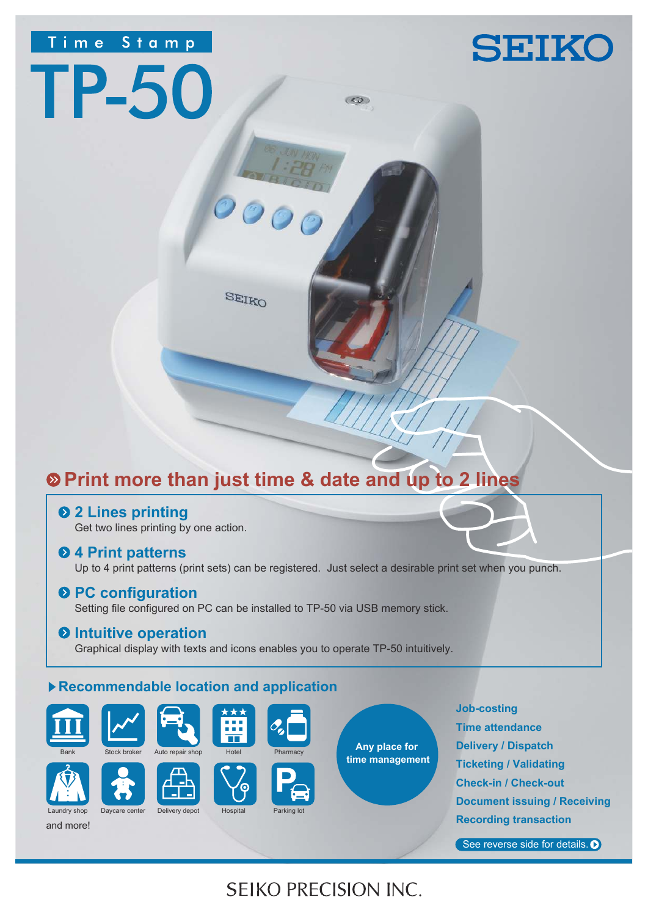# Time Stamp

**TP-50** 

# **SEIKO**

SEIKO

 $\mathcal{O}$ 

# **Print more than just time & date and up to 2 lines**

**2 Lines printing**

Get two lines printing by one action.

## **4 Print patterns**

Up to 4 print patterns (print sets) can be registered. Just select a desirable print set when you punch.

 $\overline{(\mathcal{L}^{\bullet})}$ 

## **Q PC configuration**

Setting file configured on PC can be installed to TP-50 via USB memory stick.

## $\Theta$  Intuitive operation

Graphical display with texts and icons enables you to operate TP-50 intuitively.

# **Recommendable location and application**





and more!







Laundry shop Daycare center Delivery depot Hospital Parking Io







**Job-costing Time attendance Delivery / Dispatch Ticketing / Validating Check-in / Check-out Document issuing / Receiving Recording transaction**

See reverse side for details. O

# **SEIKO PRECISION INC.**